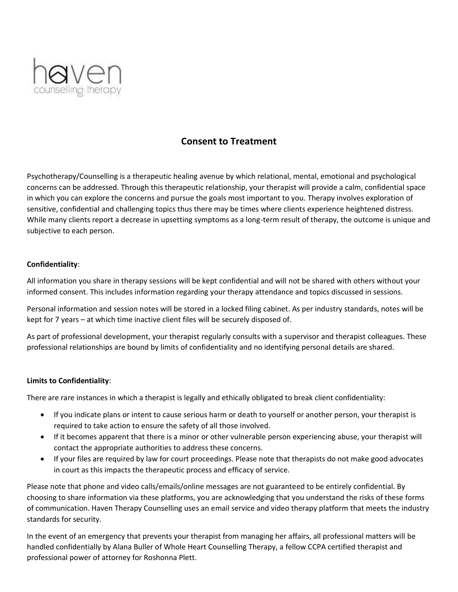

# **Consent to Treatment**

Psychotherapy/Counselling is a therapeutic healing avenue by which relational, mental, emotional and psychological concerns can be addressed. Through this therapeutic relationship, your therapist will provide a calm, confidential space in which you can explore the concerns and pursue the goals most important to you. Therapy involves exploration of sensitive, confidential and challenging topics thus there may be times where clients experience heightened distress. While many clients report a decrease in upsetting symptoms as a long-term result of therapy, the outcome is unique and subjective to each person.

## **Confidentiality**:

All information you share in therapy sessions will be kept confidential and will not be shared with others without your informed consent. This includes information regarding your therapy attendance and topics discussed in sessions.

Personal information and session notes will be stored in a locked filing cabinet. As per industry standards, notes will be kept for 7 years – at which time inactive client files will be securely disposed of.

As part of professional development, your therapist regularly consults with a supervisor and therapist colleagues. These professional relationships are bound by limits of confidentiality and no identifying personal details are shared.

### **Limits to Confidentiality**:

There are rare instances in which a therapist is legally and ethically obligated to break client confidentiality:

- If you indicate plans or intent to cause serious harm or death to yourself or another person, your therapist is required to take action to ensure the safety of all those involved.
- If it becomes apparent that there is a minor or other vulnerable person experiencing abuse, your therapist will contact the appropriate authorities to address these concerns.
- If your files are required by law for court proceedings. Please note that therapists do not make good advocates in court as this impacts the therapeutic process and efficacy of service.

Please note that phone and video calls/emails/online messages are not guaranteed to be entirely confidential. By choosing to share information via these platforms, you are acknowledging that you understand the risks of these forms of communication. Haven Therapy Counselling uses an email service and video therapy platform that meets the industry standards for security.

In the event of an emergency that prevents your therapist from managing her affairs, all professional matters will be handled confidentially by Alana Buller of Whole Heart Counselling Therapy, a fellow CCPA certified therapist and professional power of attorney for Roshonna Plett.